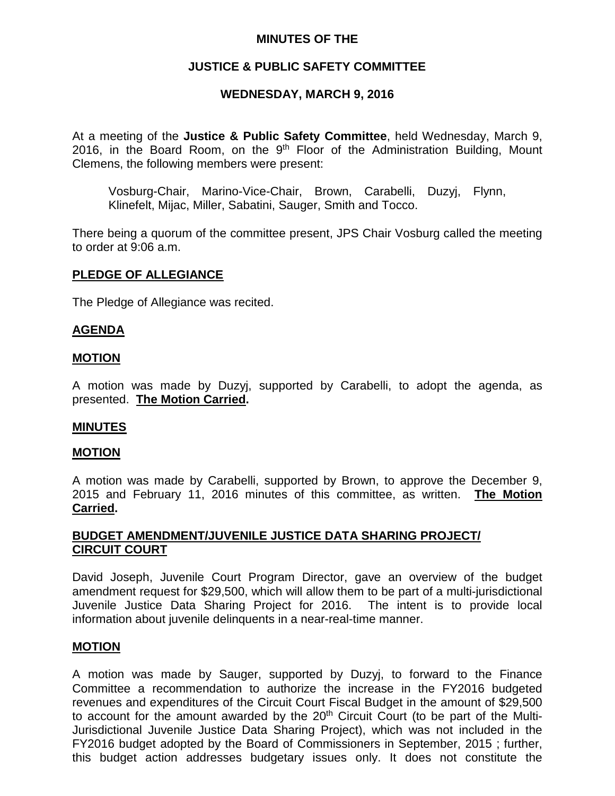### **MINUTES OF THE**

## **JUSTICE & PUBLIC SAFETY COMMITTEE**

### **WEDNESDAY, MARCH 9, 2016**

At a meeting of the **Justice & Public Safety Committee**, held Wednesday, March 9, 2016, in the Board Room, on the  $9<sup>th</sup>$  Floor of the Administration Building, Mount Clemens, the following members were present:

Vosburg-Chair, Marino-Vice-Chair, Brown, Carabelli, Duzyj, Flynn, Klinefelt, Mijac, Miller, Sabatini, Sauger, Smith and Tocco.

There being a quorum of the committee present, JPS Chair Vosburg called the meeting to order at 9:06 a.m.

#### **PLEDGE OF ALLEGIANCE**

The Pledge of Allegiance was recited.

#### **AGENDA**

#### **MOTION**

A motion was made by Duzyj, supported by Carabelli, to adopt the agenda, as presented. **The Motion Carried.**

#### **MINUTES**

#### **MOTION**

A motion was made by Carabelli, supported by Brown, to approve the December 9, 2015 and February 11, 2016 minutes of this committee, as written. **The Motion Carried.**

### **BUDGET AMENDMENT/JUVENILE JUSTICE DATA SHARING PROJECT/ CIRCUIT COURT**

David Joseph, Juvenile Court Program Director, gave an overview of the budget amendment request for \$29,500, which will allow them to be part of a multi-jurisdictional Juvenile Justice Data Sharing Project for 2016. The intent is to provide local information about juvenile delinquents in a near-real-time manner.

#### **MOTION**

A motion was made by Sauger, supported by Duzyj, to forward to the Finance Committee a recommendation to authorize the increase in the FY2016 budgeted revenues and expenditures of the Circuit Court Fiscal Budget in the amount of \$29,500 to account for the amount awarded by the  $20<sup>th</sup>$  Circuit Court (to be part of the Multi-Jurisdictional Juvenile Justice Data Sharing Project), which was not included in the FY2016 budget adopted by the Board of Commissioners in September, 2015 ; further, this budget action addresses budgetary issues only. It does not constitute the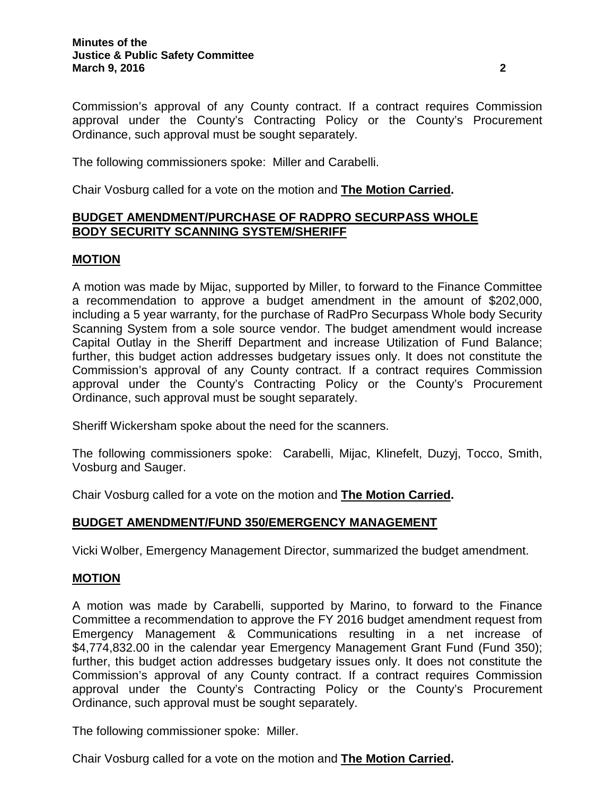Commission's approval of any County contract. If a contract requires Commission approval under the County's Contracting Policy or the County's Procurement Ordinance, such approval must be sought separately.

The following commissioners spoke: Miller and Carabelli.

Chair Vosburg called for a vote on the motion and **The Motion Carried.**

## **BUDGET AMENDMENT/PURCHASE OF RADPRO SECURPASS WHOLE BODY SECURITY SCANNING SYSTEM/SHERIFF**

### **MOTION**

A motion was made by Mijac, supported by Miller, to forward to the Finance Committee a recommendation to approve a budget amendment in the amount of \$202,000, including a 5 year warranty, for the purchase of RadPro Securpass Whole body Security Scanning System from a sole source vendor. The budget amendment would increase Capital Outlay in the Sheriff Department and increase Utilization of Fund Balance; further, this budget action addresses budgetary issues only. It does not constitute the Commission's approval of any County contract. If a contract requires Commission approval under the County's Contracting Policy or the County's Procurement Ordinance, such approval must be sought separately.

Sheriff Wickersham spoke about the need for the scanners.

The following commissioners spoke: Carabelli, Mijac, Klinefelt, Duzyj, Tocco, Smith, Vosburg and Sauger.

Chair Vosburg called for a vote on the motion and **The Motion Carried.**

## **BUDGET AMENDMENT/FUND 350/EMERGENCY MANAGEMENT**

Vicki Wolber, Emergency Management Director, summarized the budget amendment.

#### **MOTION**

A motion was made by Carabelli, supported by Marino, to forward to the Finance Committee a recommendation to approve the FY 2016 budget amendment request from Emergency Management & Communications resulting in a net increase of \$4,774,832.00 in the calendar year Emergency Management Grant Fund (Fund 350); further, this budget action addresses budgetary issues only. It does not constitute the Commission's approval of any County contract. If a contract requires Commission approval under the County's Contracting Policy or the County's Procurement Ordinance, such approval must be sought separately.

The following commissioner spoke: Miller.

Chair Vosburg called for a vote on the motion and **The Motion Carried.**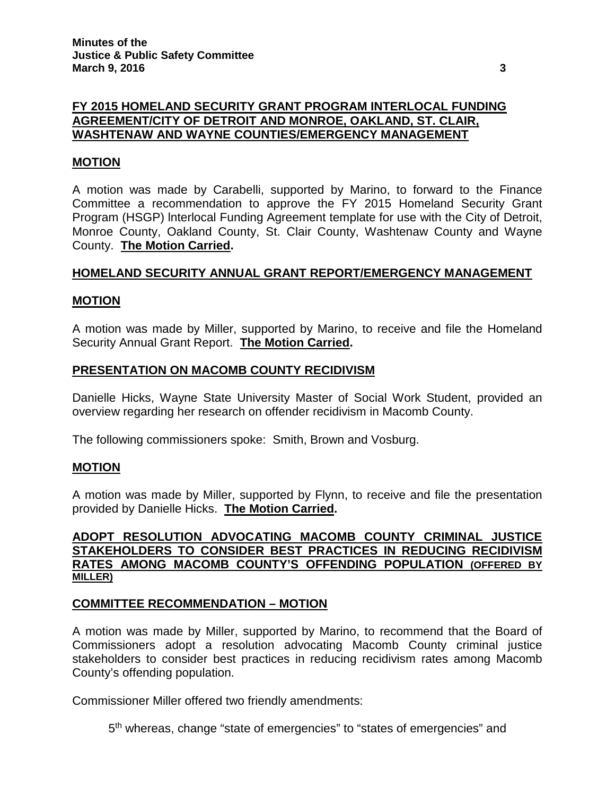### **FY 2015 HOMELAND SECURITY GRANT PROGRAM INTERLOCAL FUNDING AGREEMENT/CITY OF DETROIT AND MONROE, OAKLAND, ST. CLAIR, WASHTENAW AND WAYNE COUNTIES/EMERGENCY MANAGEMENT**

## **MOTION**

A motion was made by Carabelli, supported by Marino, to forward to the Finance Committee a recommendation to approve the FY 2015 Homeland Security Grant Program (HSGP) lnterlocal Funding Agreement template for use with the City of Detroit, Monroe County, Oakland County, St. Clair County, Washtenaw County and Wayne County. **The Motion Carried.**

#### **HOMELAND SECURITY ANNUAL GRANT REPORT/EMERGENCY MANAGEMENT**

#### **MOTION**

A motion was made by Miller, supported by Marino, to receive and file the Homeland Security Annual Grant Report. **The Motion Carried.**

#### **PRESENTATION ON MACOMB COUNTY RECIDIVISM**

Danielle Hicks, Wayne State University Master of Social Work Student, provided an overview regarding her research on offender recidivism in Macomb County.

The following commissioners spoke: Smith, Brown and Vosburg.

#### **MOTION**

A motion was made by Miller, supported by Flynn, to receive and file the presentation provided by Danielle Hicks. **The Motion Carried.**

### **ADOPT RESOLUTION ADVOCATING MACOMB COUNTY CRIMINAL JUSTICE STAKEHOLDERS TO CONSIDER BEST PRACTICES IN REDUCING RECIDIVISM RATES AMONG MACOMB COUNTY'S OFFENDING POPULATION (OFFERED BY MILLER)**

#### **COMMITTEE RECOMMENDATION – MOTION**

A motion was made by Miller, supported by Marino, to recommend that the Board of Commissioners adopt a resolution advocating Macomb County criminal justice stakeholders to consider best practices in reducing recidivism rates among Macomb County's offending population.

Commissioner Miller offered two friendly amendments:

5<sup>th</sup> whereas, change "state of emergencies" to "states of emergencies" and